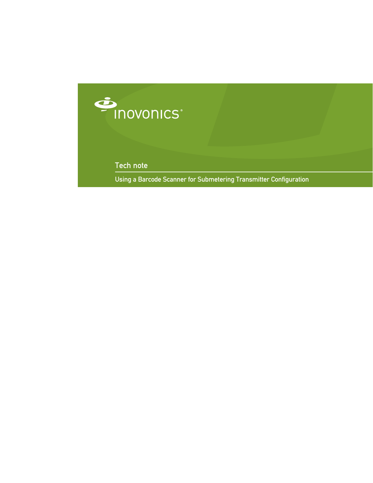

Tech note

Using a Barcode Scanner for Submetering Transmitter Configuration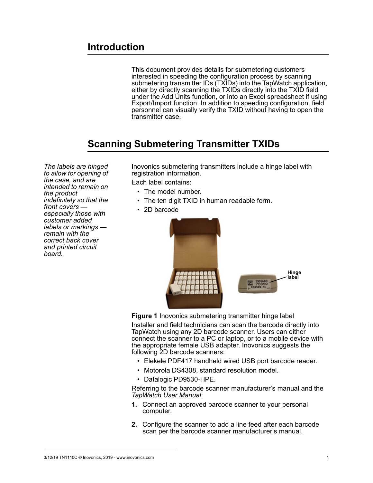This document provides details for submetering customers interested in speeding the configuration process by scanning submetering transmitter IDs (TXIDs) into the TapWatch application, either by directly scanning the TXIDs directly into the TXID field under the Add Units function, or into an Excel spreadsheet if using Export/Import function. In addition to speeding configuration, field personnel can visually verify the TXID without having to open the transmitter case.

## **Scanning Submetering Transmitter TXIDs**

*The labels are hinged to allow for opening of the case, and are intended to remain on the product indefinitely so that the front covers especially those with customer added labels or markings remain with the correct back cover and printed circuit board.* 

Inovonics submetering transmitters include a hinge label with registration information.

Each label contains:

- The model number.
- The ten digit TXID in human readable form.
- 2D barcode



**Figure 1** Inovonics submetering transmitter hinge label

Installer and field technicians can scan the barcode directly into TapWatch using any 2D barcode scanner. Users can either connect the scanner to a PC or laptop, or to a mobile device with the appropriate female USB adapter. Inovonics suggests the following 2D barcode scanners:

- Elekele PDF417 handheld wired USB port barcode reader.
- Motorola DS4308, standard resolution model.
- Datalogic PD9530-HPE.

Referring to the barcode scanner manufacturer's manual and the *TapWatch User Manual*:

- **1.** Connect an approved barcode scanner to your personal computer.
- **2.** Configure the scanner to add a line feed after each barcode scan per the barcode scanner manufacturer's manual.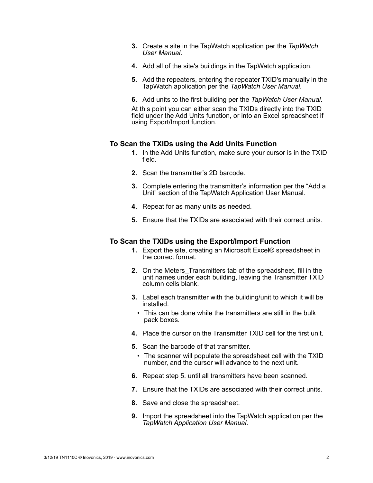- **3.** Create a site in the TapWatch application per the *TapWatch User Manual*.
- **4.** Add all of the site's buildings in the TapWatch application.
- **5.** Add the repeaters, entering the repeater TXID's manually in the TapWatch application per the *TapWatch User Manual*.
- **6.** Add units to the first building per the *TapWatch User Manual*.

At this point you can either scan the TXIDs directly into the TXID field under the Add Units function, or into an Excel spreadsheet if using Export/Import function.

## **To Scan the TXIDs using the Add Units Function**

- **1.** In the Add Units function, make sure your cursor is in the TXID field.
- **2.** Scan the transmitter's 2D barcode.
- **3.** Complete entering the transmitter's information per the "Add a Unit" section of the TapWatch Application User Manual.
- **4.** Repeat for as many units as needed.
- **5.** Ensure that the TXIDs are associated with their correct units.

## **To Scan the TXIDs using the Export/Import Function**

- **1.** Export the site, creating an Microsoft Excel® spreadsheet in the correct format.
- **2.** On the Meters\_Transmitters tab of the spreadsheet, fill in the unit names under each building, leaving the Transmitter  $TXID$ column cells blank.
- **3.** Label each transmitter with the building/unit to which it will be installed.
	- This can be done while the transmitters are still in the bulk pack boxes.
- **4.** Place the cursor on the Transmitter TXID cell for the first unit.
- <span id="page-2-0"></span>**5.** Scan the barcode of that transmitter.
	- The scanner will populate the spreadsheet cell with the TXID number, and the cursor will advance to the next unit.
- **6.** Repeat step [5.](#page-2-0) until all transmitters have been scanned.
- **7.** Ensure that the TXIDs are associated with their correct units.
- **8.** Save and close the spreadsheet.
- **9.** Import the spreadsheet into the TapWatch application per the *TapWatch Application User Manual*.